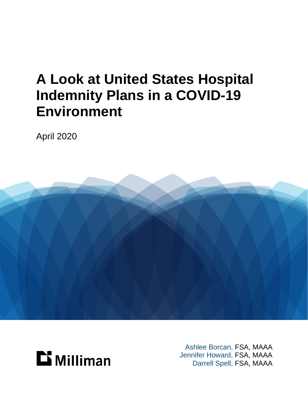## **A Look at United States Hospital Indemnity Plans in a COVID-19 Environment**

April 2020





Ashlee Borcan, FSA, MAAA Jennifer Howard, FSA, MAAA Darrell Spell, FSA, MAAA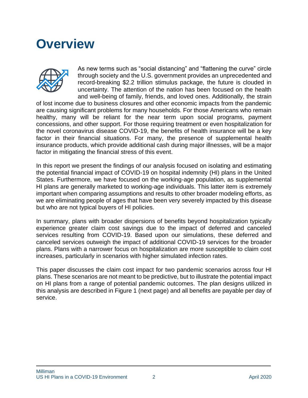### **Overview**



As new terms such as "social distancing" and "flattening the curve" circle through society and the U.S. government provides an unprecedented and record-breaking \$2.2 trillion stimulus package, the future is clouded in uncertainty. The attention of the nation has been focused on the health and well-being of family, friends, and loved ones. Additionally, the strain

of lost income due to business closures and other economic impacts from the pandemic are causing significant problems for many households. For those Americans who remain healthy, many will be reliant for the near term upon social programs, payment concessions, and other support. For those requiring treatment or even hospitalization for the novel coronavirus disease COVID-19, the benefits of health insurance will be a key factor in their financial situations. For many, the presence of supplemental health insurance products, which provide additional cash during major illnesses, will be a major factor in mitigating the financial stress of this event.

In this report we present the findings of our analysis focused on isolating and estimating the potential financial impact of COVID-19 on hospital indemnity (HI) plans in the United States. Furthermore, we have focused on the working-age population, as supplemental HI plans are generally marketed to working-age individuals. This latter item is extremely important when comparing assumptions and results to other broader modeling efforts, as we are eliminating people of ages that have been very severely impacted by this disease but who are not typical buyers of HI policies.

In summary, plans with broader dispersions of benefits beyond hospitalization typically experience greater claim cost savings due to the impact of deferred and canceled services resulting from COVID-19. Based upon our simulations, these deferred and canceled services outweigh the impact of additional COVID-19 services for the broader plans. Plans with a narrower focus on hospitalization are more susceptible to claim cost increases, particularly in scenarios with higher simulated infection rates.

This paper discusses the claim cost impact for two pandemic scenarios across four HI plans. These scenarios are not meant to be predictive, but to illustrate the potential impact on HI plans from a range of potential pandemic outcomes. The plan designs utilized in this analysis are described in Figure 1 (next page) and all benefits are payable per day of service.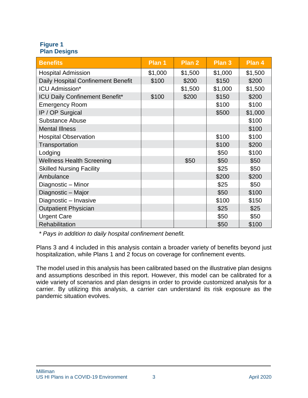#### **Figure 1 Plan Designs**

| <b>Benefits</b>                       | Plan 1  | Plan 2  | Plan 3  | Plan 4  |
|---------------------------------------|---------|---------|---------|---------|
| <b>Hospital Admission</b>             | \$1,000 | \$1,500 | \$1,000 | \$1,500 |
| Daily Hospital Confinement Benefit    | \$100   | \$200   | \$150   | \$200   |
| <b>ICU Admission*</b>                 |         | \$1,500 | \$1,000 | \$1,500 |
| <b>ICU Daily Confinement Benefit*</b> | \$100   | \$200   | \$150   | \$200   |
| <b>Emergency Room</b>                 |         |         | \$100   | \$100   |
| IP / OP Surgical                      |         |         | \$500   | \$1,000 |
| <b>Substance Abuse</b>                |         |         |         | \$100   |
| <b>Mental Illness</b>                 |         |         |         | \$100   |
| <b>Hospital Observation</b>           |         |         | \$100   | \$100   |
| Transportation                        |         |         | \$100   | \$200   |
| Lodging                               |         |         | \$50    | \$100   |
| <b>Wellness Health Screening</b>      |         | \$50    | \$50    | \$50    |
| <b>Skilled Nursing Facility</b>       |         |         | \$25    | \$50    |
| Ambulance                             |         |         | \$200   | \$200   |
| Diagnostic - Minor                    |         |         | \$25    | \$50    |
| Diagnostic - Major                    |         |         | \$50    | \$100   |
| Diagnostic - Invasive                 |         |         | \$100   | \$150   |
| <b>Outpatient Physician</b>           |         |         | \$25    | \$25    |
| <b>Urgent Care</b>                    |         |         | \$50    | \$50    |
| Rehabilitation                        |         |         | \$50    | \$100   |

*\* Pays in addition to daily hospital confinement benefit.*

Plans 3 and 4 included in this analysis contain a broader variety of benefits beyond just hospitalization, while Plans 1 and 2 focus on coverage for confinement events.

The model used in this analysis has been calibrated based on the illustrative plan designs and assumptions described in this report. However, this model can be calibrated for a wide variety of scenarios and plan designs in order to provide customized analysis for a carrier. By utilizing this analysis, a carrier can understand its risk exposure as the pandemic situation evolves.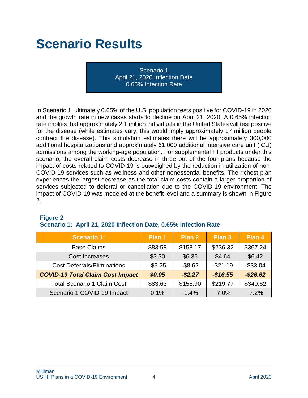## **Scenario Results**

Scenario 1 April 21, 2020 Inflection Date 0.65% Infection Rate

In Scenario 1, ultimately 0.65% of the U.S. population tests positive for COVID-19 in 2020 and the growth rate in new cases starts to decline on April 21, 2020. A 0.65% infection rate implies that approximately 2.1 million individuals in the United States will test positive for the disease (while estimates vary, this would imply approximately 17 million people contract the disease). This simulation estimates there will be approximately 300,000 additional hospitalizations and approximately 61,000 additional intensive care unit (ICU) admissions among the working-age population. For supplemental HI products under this scenario, the overall claim costs decrease in three out of the four plans because the impact of costs related to COVID-19 is outweighed by the reduction in utilization of non-COVID-19 services such as wellness and other nonessential benefits. The richest plan experiences the largest decrease as the total claim costs contain a larger proportion of services subjected to deferral or cancellation due to the COVID-19 environment. The impact of COVID-19 was modeled at the benefit level and a summary is shown in Figure 2.

| <b>Scenario 1:</b>                      | Plan 1   | Plan 2     | Plan 3    | Plan 4      |
|-----------------------------------------|----------|------------|-----------|-------------|
| <b>Base Claims</b>                      | \$83.58  | \$158.17   | \$236.32  | \$367.24    |
| Cost Increases                          | \$3.30   | \$6.36     | \$4.64    | \$6.42      |
| <b>Cost Deferrals/Eliminations</b>      | $-$3.25$ | $-$ \$8.62 | $-$21.19$ | $-$ \$33.04 |
| <b>COVID-19 Total Claim Cost Impact</b> | \$0.05   | $-$ \$2.27 | $-$16.55$ | $-$ \$26.62 |
| <b>Total Scenario 1 Claim Cost</b>      | \$83.63  | \$155.90   | \$219.77  | \$340.62    |
| Scenario 1 COVID-19 Impact              | 0.1%     | $-1.4%$    | $-7.0%$   | $-7.2%$     |

### **Figure 2**

#### **Scenario 1: April 21, 2020 Inflection Date, 0.65% Infection Rate**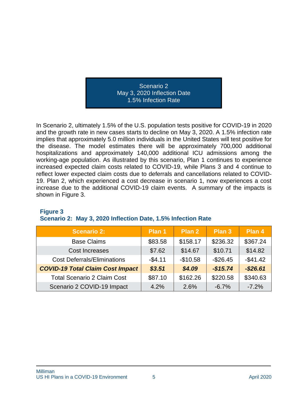Scenario 2 May 3, 2020 Inflection Date 1.5% Infection Rate

In Scenario 2, ultimately 1.5% of the U.S. population tests positive for COVID-19 in 2020 and the growth rate in new cases starts to decline on May 3, 2020. A 1.5% infection rate implies that approximately 5.0 million individuals in the United States will test positive for the disease. The model estimates there will be approximately 700,000 additional hospitalizations and approximately 140,000 additional ICU admissions among the working-age population. As illustrated by this scenario, Plan 1 continues to experience increased expected claim costs related to COVID-19, while Plans 3 and 4 continue to reflect lower expected claim costs due to deferrals and cancellations related to COVID-19. Plan 2, which experienced a cost decrease in scenario 1, now experiences a cost increase due to the additional COVID-19 claim events. A summary of the impacts is shown in Figure 3.

| <b>Scenario 2:</b>                      | Plan 1   | Plan 2    | Plan 3    | Plan 4      |
|-----------------------------------------|----------|-----------|-----------|-------------|
| <b>Base Claims</b>                      | \$83.58  | \$158.17  | \$236.32  | \$367.24    |
| <b>Cost Increases</b>                   | \$7.62   | \$14.67   | \$10.71   | \$14.82     |
| <b>Cost Deferrals/Eliminations</b>      | $-$4.11$ | $-$10.58$ | $-$26.45$ | $-$41.42$   |
| <b>COVID-19 Total Claim Cost Impact</b> | \$3.51   | \$4.09    | $-$15.74$ | $-$ \$26.61 |
| <b>Total Scenario 2 Claim Cost</b>      | \$87.10  | \$162.26  | \$220.58  | \$340.63    |
| Scenario 2 COVID-19 Impact              | 4.2%     | 2.6%      | $-6.7%$   | $-7.2%$     |

#### **Figure 3**

#### **Scenario 2: May 3, 2020 Inflection Date, 1.5% Infection Rate**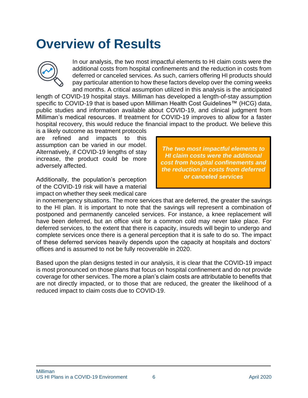### **Overview of Results**



In our analysis, the two most impactful elements to HI claim costs were the additional costs from hospital confinements and the reduction in costs from deferred or canceled services. As such, carriers offering HI products should pay particular attention to how these factors develop over the coming weeks and months. A critical assumption utilized in this analysis is the anticipated

length of COVID-19 hospital stays. Milliman has developed a length-of-stay assumption specific to COVID-19 that is based upon Milliman Health Cost Guidelines™ (HCG) data, public studies and information available about COVID-19, and clinical judgment from Milliman's medical resources. If treatment for COVID-19 improves to allow for a faster hospital recovery, this would reduce the financial impact to the product. We believe this

is a likely outcome as treatment protocols are refined and impacts to this assumption can be varied in our model. Alternatively, if COVID-19 lengths of stay increase, the product could be more adversely affected.

Additionally, the population's perception of the COVID-19 risk will have a material impact on whether they seek medical care

*The two most impactful elements to HI claim costs were the additional cost from hospital confinements and the reduction in costs from deferred or canceled services*

in nonemergency situations. The more services that are deferred, the greater the savings to the HI plan. It is important to note that the savings will represent a combination of postponed and permanently canceled services. For instance, a knee replacement will have been deferred, but an office visit for a common cold may never take place. For deferred services, to the extent that there is capacity, insureds will begin to undergo and complete services once there is a general perception that it is safe to do so. The impact of these deferred services heavily depends upon the capacity at hospitals and doctors' offices and is assumed to not be fully recoverable in 2020.

Based upon the plan designs tested in our analysis, it is clear that the COVID-19 impact is most pronounced on those plans that focus on hospital confinement and do not provide coverage for other services. The more a plan's claim costs are attributable to benefits that are not directly impacted, or to those that are reduced, the greater the likelihood of a reduced impact to claim costs due to COVID-19.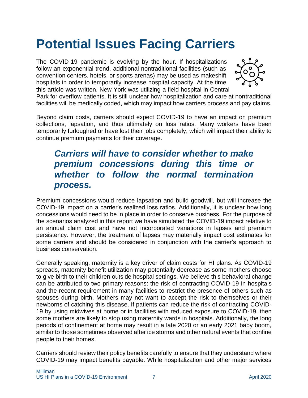## **Potential Issues Facing Carriers**

The COVID-19 pandemic is evolving by the hour. If hospitalizations follow an exponential trend, additional nontraditional facilities (such as convention centers, hotels, or sports arenas) may be used as makeshift hospitals in order to temporarily increase hospital capacity. At the time this article was written, New York was utilizing a field hospital in Central



Park for overflow patients. It is still unclear how hospitalization and care at nontraditional facilities will be medically coded, which may impact how carriers process and pay claims.

Beyond claim costs, carriers should expect COVID-19 to have an impact on premium collections, lapsation, and thus ultimately on loss ratios. Many workers have been temporarily furloughed or have lost their jobs completely, which will impact their ability to continue premium payments for their coverage.

#### *Carriers will have to consider whether to make premium concessions during this time or whether to follow the normal termination process.*

Premium concessions would reduce lapsation and build goodwill, but will increase the COVID-19 impact on a carrier's realized loss ratios. Additionally, it is unclear how long concessions would need to be in place in order to conserve business. For the purpose of the scenarios analyzed in this report we have simulated the COVID-19 impact relative to an annual claim cost and have not incorporated variations in lapses and premium persistency. However, the treatment of lapses may materially impact cost estimates for some carriers and should be considered in conjunction with the carrier's approach to business conservation.

Generally speaking, maternity is a key driver of claim costs for HI plans. As COVID-19 spreads, maternity benefit utilization may potentially decrease as some mothers choose to give birth to their children outside hospital settings. We believe this behavioral change can be attributed to two primary reasons: the risk of contracting COVID-19 in hospitals and the recent requirement in many facilities to restrict the presence of others such as spouses during birth. Mothers may not want to accept the risk to themselves or their newborns of catching this disease. If patients can reduce the risk of contracting COVID-19 by using midwives at home or in facilities with reduced exposure to COVID-19, then some mothers are likely to stop using maternity wards in hospitals. Additionally, the long periods of confinement at home may result in a late 2020 or an early 2021 baby boom, similar to those sometimes observed after ice storms and other natural events that confine people to their homes.

Carriers should review their policy benefits carefully to ensure that they understand where COVID-19 may impact benefits payable. While hospitalization and other major services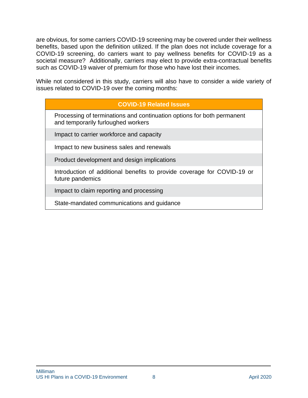are obvious, for some carriers COVID-19 screening may be covered under their wellness benefits, based upon the definition utilized. If the plan does not include coverage for a COVID-19 screening, do carriers want to pay wellness benefits for COVID-19 as a societal measure? Additionally, carriers may elect to provide extra-contractual benefits such as COVID-19 waiver of premium for those who have lost their incomes.

While not considered in this study, carriers will also have to consider a wide variety of issues related to COVID-19 over the coming months:

#### **COVID-19 Related Issues**

Processing of terminations and continuation options for both permanent and temporarily furloughed workers

Impact to carrier workforce and capacity

Impact to new business sales and renewals

Product development and design implications

Introduction of additional benefits to provide coverage for COVID-19 or future pandemics

Impact to claim reporting and processing

State-mandated communications and guidance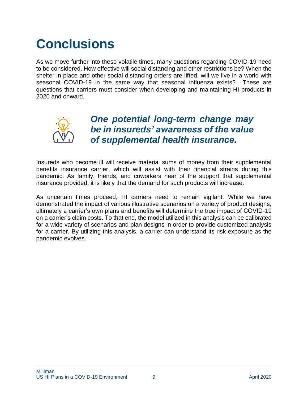## **Conclusions**

As we move further into these volatile times, many questions regarding COVID-19 need to be considered. How effective will social distancing and other restrictions be? When the shelter in place and other social distancing orders are lifted, will we live in a world with seasonal COVID-19 in the same way that seasonal influenza exists? These are questions that carriers must consider when developing and maintaining HI products in 2020 and onward.



#### *One potential long-term change may be in insureds' awareness of the value of supplemental health insurance.*

Insureds who become ill will receive material sums of money from their supplemental benefits insurance carrier, which will assist with their financial strains during this pandemic. As family, friends, and coworkers hear of the support that supplemental insurance provided, it is likely that the demand for such products will increase.

As uncertain times proceed, HI carriers need to remain vigilant. While we have demonstrated the impact of various illustrative scenarios on a variety of product designs, ultimately a carrier's own plans and benefits will determine the true impact of COVID-19 on a carrier's claim costs. To that end, the model utilized in this analysis can be calibrated for a wide variety of scenarios and plan designs in order to provide customized analysis for a carrier. By utilizing this analysis, a carrier can understand its risk exposure as the pandemic evolves.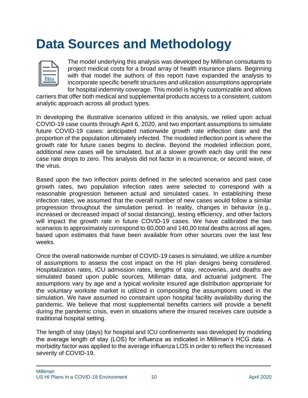## **Data Sources and Methodology**



The model underlying this analysis was developed by Milliman consultants to project medical costs for a broad array of health insurance plans. Beginning with that model the authors of this report have expanded the analysis to incorporate specific benefit structures and utilization assumptions appropriate for hospital indemnity coverage. This model is highly customizable and allows

carriers that offer both medical and supplemental products access to a consistent, custom analytic approach across all product types.

In developing the illustrative scenarios utilized in this analysis, we relied upon actual COVID-19 case counts through April 6, 2020, and two important assumptions to simulate future COVID-19 cases: anticipated nationwide growth rate inflection date and the proportion of the population ultimately infected. The modeled inflection point is where the growth rate for future cases begins to decline. Beyond the modeled inflection point, additional new cases will be simulated, but at a slower growth each day until the new case rate drops to zero. This analysis did not factor in a recurrence, or second wave, of the virus.

Based upon the two inflection points defined in the selected scenarios and past case growth rates, two population infection rates were selected to correspond with a reasonable progression between actual and simulated cases. In establishing these infection rates, we assumed that the overall number of new cases would follow a similar progression throughout the simulation period. In reality, changes in behavior (e.g., increased or decreased impact of social distancing), testing efficiency, and other factors will impact the growth rate in future COVID-19 cases. We have calibrated the two scenarios to approximately correspond to 60,000 and 140,00 total deaths across all ages, based upon estimates that have been available from other sources over the last few weeks.

Once the overall nationwide number of COVID-19 cases is simulated, we utilize a number of assumptions to assess the cost impact on the HI plan designs being considered. Hospitalization rates, ICU admission rates, lengths of stay, recoveries, and deaths are simulated based upon public sources, Milliman data, and actuarial judgment. The assumptions vary by age and a typical worksite insured age distribution appropriate for the voluntary worksite market is utilized in compositing the assumptions used in the simulation. We have assumed no constraint upon hospital facility availability during the pandemic. We believe that most supplemental benefits carriers will provide a benefit during the pandemic crisis, even in situations where the insured receives care outside a traditional hospital setting.

The length of stay (days) for hospital and ICU confinements was developed by modeling the average length of stay (LOS) for influenza as indicated in Milliman's HCG data. A morbidity factor was applied to the average influenza LOS in order to reflect the increased severity of COVID-19.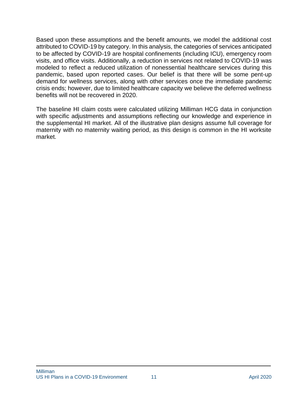Based upon these assumptions and the benefit amounts, we model the additional cost attributed to COVID-19 by category. In this analysis, the categories of services anticipated to be affected by COVID-19 are hospital confinements (including ICU), emergency room visits, and office visits. Additionally, a reduction in services not related to COVID-19 was modeled to reflect a reduced utilization of nonessential healthcare services during this pandemic, based upon reported cases. Our belief is that there will be some pent-up demand for wellness services, along with other services once the immediate pandemic crisis ends; however, due to limited healthcare capacity we believe the deferred wellness benefits will not be recovered in 2020.

The baseline HI claim costs were calculated utilizing Milliman HCG data in conjunction with specific adjustments and assumptions reflecting our knowledge and experience in the supplemental HI market. All of the illustrative plan designs assume full coverage for maternity with no maternity waiting period, as this design is common in the HI worksite market.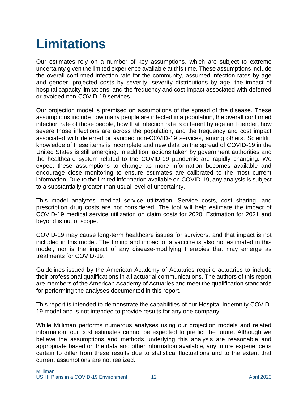## **Limitations**

Our estimates rely on a number of key assumptions, which are subject to extreme uncertainty given the limited experience available at this time. These assumptions include the overall confirmed infection rate for the community, assumed infection rates by age and gender, projected costs by severity, severity distributions by age, the impact of hospital capacity limitations, and the frequency and cost impact associated with deferred or avoided non-COVID-19 services.

Our projection model is premised on assumptions of the spread of the disease. These assumptions include how many people are infected in a population, the overall confirmed infection rate of those people, how that infection rate is different by age and gender, how severe those infections are across the population, and the frequency and cost impact associated with deferred or avoided non-COVID-19 services, among others. Scientific knowledge of these items is incomplete and new data on the spread of COVID-19 in the United States is still emerging. In addition, actions taken by government authorities and the healthcare system related to the COVID-19 pandemic are rapidly changing. We expect these assumptions to change as more information becomes available and encourage close monitoring to ensure estimates are calibrated to the most current information. Due to the limited information available on COVID-19, any analysis is subject to a substantially greater than usual level of uncertainty.

This model analyzes medical service utilization. Service costs, cost sharing, and prescription drug costs are not considered. The tool will help estimate the impact of COVID-19 medical service utilization on claim costs for 2020. Estimation for 2021 and beyond is out of scope.

COVID-19 may cause long-term healthcare issues for survivors, and that impact is not included in this model. The timing and impact of a vaccine is also not estimated in this model, nor is the impact of any disease-modifying therapies that may emerge as treatments for COVID-19.

Guidelines issued by the American Academy of Actuaries require actuaries to include their professional qualifications in all actuarial communications. The authors of this report are members of the American Academy of Actuaries and meet the qualification standards for performing the analyses documented in this report.

This report is intended to demonstrate the capabilities of our Hospital Indemnity COVID-19 model and is not intended to provide results for any one company.

While Milliman performs numerous analyses using our projection models and related information, our cost estimates cannot be expected to predict the future. Although we believe the assumptions and methods underlying this analysis are reasonable and appropriate based on the data and other information available, any future experience is certain to differ from these results due to statistical fluctuations and to the extent that current assumptions are not realized.